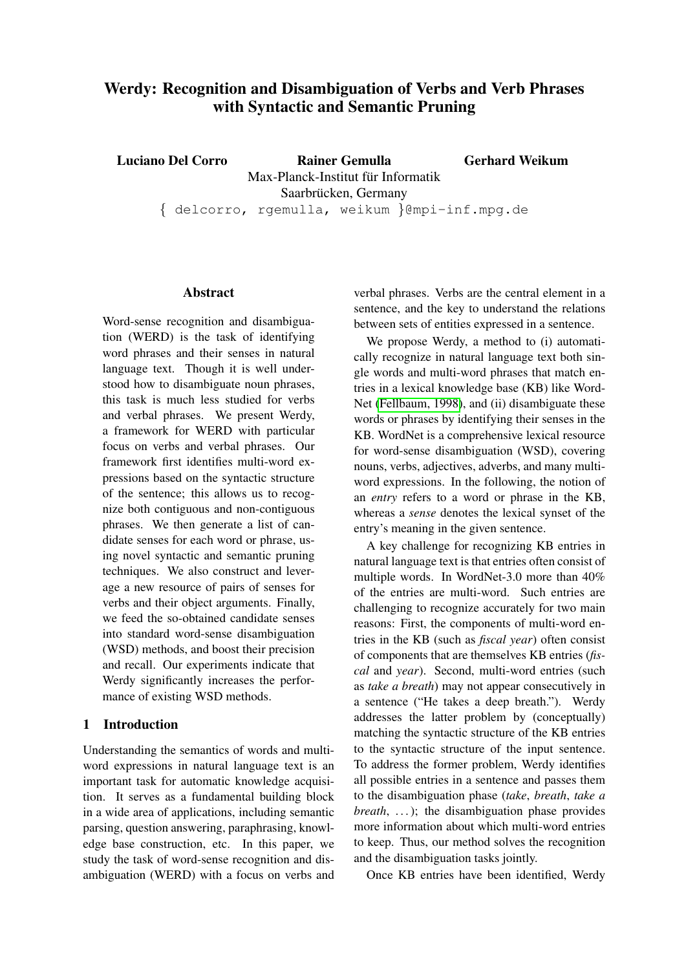# Werdy: Recognition and Disambiguation of Verbs and Verb Phrases with Syntactic and Semantic Pruning

Luciano Del Corro Rainer Gemulla Max-Planck-Institut für Informatik Saarbrücken, Germany { delcorro, rgemulla, weikum }@mpi-inf.mpg.de Gerhard Weikum

#### Abstract

Word-sense recognition and disambiguation (WERD) is the task of identifying word phrases and their senses in natural language text. Though it is well understood how to disambiguate noun phrases, this task is much less studied for verbs and verbal phrases. We present Werdy, a framework for WERD with particular focus on verbs and verbal phrases. Our framework first identifies multi-word expressions based on the syntactic structure of the sentence; this allows us to recognize both contiguous and non-contiguous phrases. We then generate a list of candidate senses for each word or phrase, using novel syntactic and semantic pruning techniques. We also construct and leverage a new resource of pairs of senses for verbs and their object arguments. Finally, we feed the so-obtained candidate senses into standard word-sense disambiguation (WSD) methods, and boost their precision and recall. Our experiments indicate that Werdy significantly increases the performance of existing WSD methods.

# 1 Introduction

Understanding the semantics of words and multiword expressions in natural language text is an important task for automatic knowledge acquisition. It serves as a fundamental building block in a wide area of applications, including semantic parsing, question answering, paraphrasing, knowledge base construction, etc. In this paper, we study the task of word-sense recognition and disambiguation (WERD) with a focus on verbs and

verbal phrases. Verbs are the central element in a sentence, and the key to understand the relations between sets of entities expressed in a sentence.

We propose Werdy, a method to (i) automatically recognize in natural language text both single words and multi-word phrases that match entries in a lexical knowledge base (KB) like Word-Net [\(Fellbaum, 1998\)](#page-10-0), and (ii) disambiguate these words or phrases by identifying their senses in the KB. WordNet is a comprehensive lexical resource for word-sense disambiguation (WSD), covering nouns, verbs, adjectives, adverbs, and many multiword expressions. In the following, the notion of an *entry* refers to a word or phrase in the KB, whereas a *sense* denotes the lexical synset of the entry's meaning in the given sentence.

A key challenge for recognizing KB entries in natural language text is that entries often consist of multiple words. In WordNet-3.0 more than 40% of the entries are multi-word. Such entries are challenging to recognize accurately for two main reasons: First, the components of multi-word entries in the KB (such as *fiscal year*) often consist of components that are themselves KB entries (*fiscal* and *year*). Second, multi-word entries (such as *take a breath*) may not appear consecutively in a sentence ("He takes a deep breath."). Werdy addresses the latter problem by (conceptually) matching the syntactic structure of the KB entries to the syntactic structure of the input sentence. To address the former problem, Werdy identifies all possible entries in a sentence and passes them to the disambiguation phase (*take*, *breath*, *take a breath*, ...); the disambiguation phase provides more information about which multi-word entries to keep. Thus, our method solves the recognition and the disambiguation tasks jointly.

Once KB entries have been identified, Werdy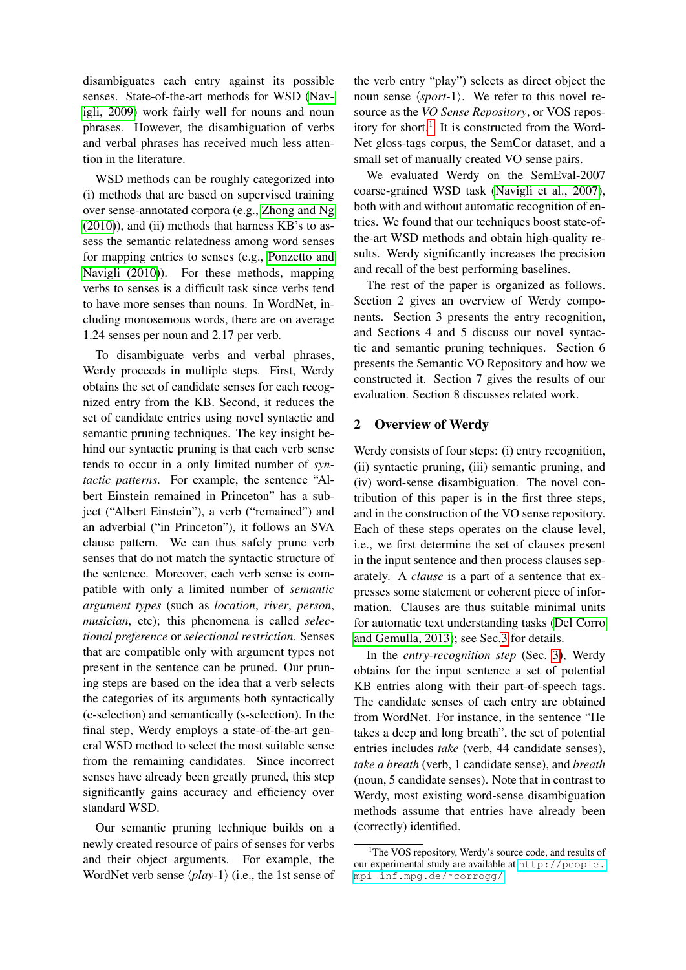disambiguates each entry against its possible senses. State-of-the-art methods for WSD [\(Nav](#page-11-0)[igli, 2009\)](#page-11-0) work fairly well for nouns and noun phrases. However, the disambiguation of verbs and verbal phrases has received much less attention in the literature.

WSD methods can be roughly categorized into (i) methods that are based on supervised training over sense-annotated corpora (e.g., [Zhong and Ng](#page-11-1)  $(2010)$ ), and  $(ii)$  methods that harness KB's to assess the semantic relatedness among word senses for mapping entries to senses (e.g., [Ponzetto and](#page-11-2) [Navigli \(2010\)](#page-11-2)). For these methods, mapping verbs to senses is a difficult task since verbs tend to have more senses than nouns. In WordNet, including monosemous words, there are on average 1.24 senses per noun and 2.17 per verb.

To disambiguate verbs and verbal phrases, Werdy proceeds in multiple steps. First, Werdy obtains the set of candidate senses for each recognized entry from the KB. Second, it reduces the set of candidate entries using novel syntactic and semantic pruning techniques. The key insight behind our syntactic pruning is that each verb sense tends to occur in a only limited number of *syntactic patterns*. For example, the sentence "Albert Einstein remained in Princeton" has a subject ("Albert Einstein"), a verb ("remained") and an adverbial ("in Princeton"), it follows an SVA clause pattern. We can thus safely prune verb senses that do not match the syntactic structure of the sentence. Moreover, each verb sense is compatible with only a limited number of *semantic argument types* (such as *location*, *river*, *person*, *musician*, etc); this phenomena is called *selectional preference* or *selectional restriction*. Senses that are compatible only with argument types not present in the sentence can be pruned. Our pruning steps are based on the idea that a verb selects the categories of its arguments both syntactically (c-selection) and semantically (s-selection). In the final step, Werdy employs a state-of-the-art general WSD method to select the most suitable sense from the remaining candidates. Since incorrect senses have already been greatly pruned, this step significantly gains accuracy and efficiency over standard WSD.

Our semantic pruning technique builds on a newly created resource of pairs of senses for verbs and their object arguments. For example, the WordNet verb sense  $\langle play-1\rangle$  (i.e., the 1st sense of

the verb entry "play") selects as direct object the noun sense  $\langle sport-1\rangle$ . We refer to this novel resource as the *VO Sense Repository*, or VOS repos-itory for short.<sup>[1](#page-1-0)</sup> It is constructed from the Word-Net gloss-tags corpus, the SemCor dataset, and a small set of manually created VO sense pairs.

We evaluated Werdy on the SemEval-2007 coarse-grained WSD task [\(Navigli et al., 2007\)](#page-11-3), both with and without automatic recognition of entries. We found that our techniques boost state-ofthe-art WSD methods and obtain high-quality results. Werdy significantly increases the precision and recall of the best performing baselines.

The rest of the paper is organized as follows. Section 2 gives an overview of Werdy components. Section 3 presents the entry recognition, and Sections 4 and 5 discuss our novel syntactic and semantic pruning techniques. Section 6 presents the Semantic VO Repository and how we constructed it. Section 7 gives the results of our evaluation. Section 8 discusses related work.

# 2 Overview of Werdy

Werdy consists of four steps: (i) entry recognition, (ii) syntactic pruning, (iii) semantic pruning, and (iv) word-sense disambiguation. The novel contribution of this paper is in the first three steps, and in the construction of the VO sense repository. Each of these steps operates on the clause level, i.e., we first determine the set of clauses present in the input sentence and then process clauses separately. A *clause* is a part of a sentence that expresses some statement or coherent piece of information. Clauses are thus suitable minimal units for automatic text understanding tasks [\(Del Corro](#page-10-1) [and Gemulla, 2013\)](#page-10-1); see Sec[.3](#page-2-0) for details.

In the *entry-recognition step* (Sec. [3\)](#page-2-0), Werdy obtains for the input sentence a set of potential KB entries along with their part-of-speech tags. The candidate senses of each entry are obtained from WordNet. For instance, in the sentence "He takes a deep and long breath", the set of potential entries includes *take* (verb, 44 candidate senses), *take a breath* (verb, 1 candidate sense), and *breath* (noun, 5 candidate senses). Note that in contrast to Werdy, most existing word-sense disambiguation methods assume that entries have already been (correctly) identified.

<span id="page-1-0"></span><sup>&</sup>lt;sup>1</sup>The VOS repository, Werdy's source code, and results of our experimental study are available at [http://people.](http://people.mpi-inf.mpg.de/~corrogg/) [mpi-inf.mpg.de/˜corrogg/](http://people.mpi-inf.mpg.de/~corrogg/).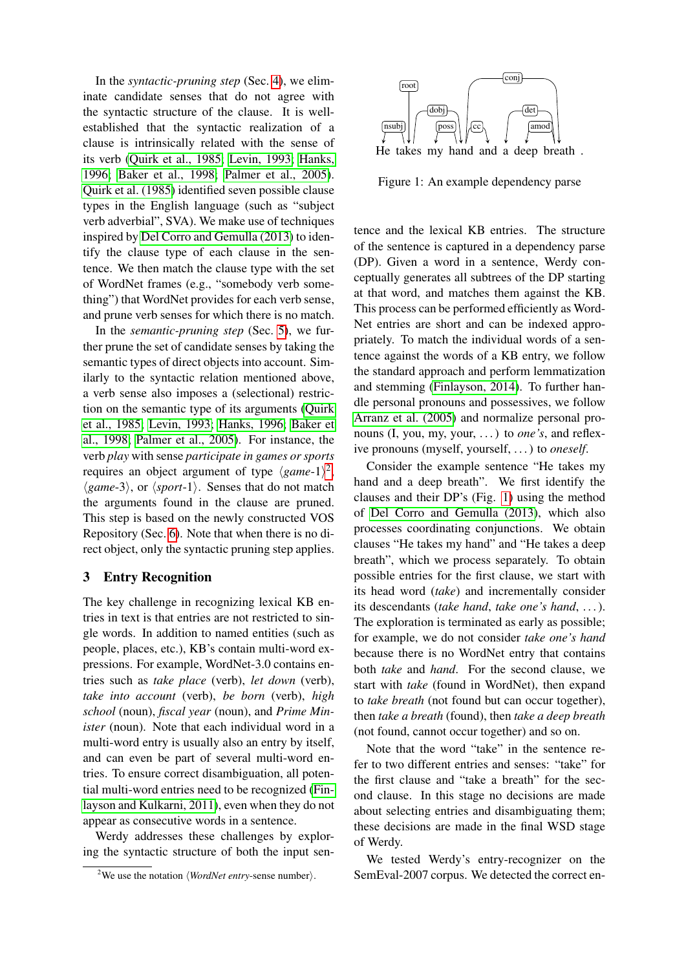In the *syntactic-pruning step* (Sec. [4\)](#page-3-0), we eliminate candidate senses that do not agree with the syntactic structure of the clause. It is wellestablished that the syntactic realization of a clause is intrinsically related with the sense of its verb [\(Quirk et al., 1985;](#page-11-4) [Levin, 1993;](#page-10-2) [Hanks,](#page-10-3) [1996;](#page-10-3) [Baker et al., 1998;](#page-10-4) [Palmer et al., 2005\)](#page-11-5). [Quirk et al. \(1985\)](#page-11-4) identified seven possible clause types in the English language (such as "subject verb adverbial", SVA). We make use of techniques inspired by [Del Corro and Gemulla \(2013\)](#page-10-1) to identify the clause type of each clause in the sentence. We then match the clause type with the set of WordNet frames (e.g., "somebody verb something") that WordNet provides for each verb sense, and prune verb senses for which there is no match.

In the *semantic-pruning step* (Sec. [5\)](#page-4-0), we further prune the set of candidate senses by taking the semantic types of direct objects into account. Similarly to the syntactic relation mentioned above, a verb sense also imposes a (selectional) restriction on the semantic type of its arguments [\(Quirk](#page-11-4) [et al., 1985;](#page-11-4) [Levin, 1993;](#page-10-2) [Hanks, 1996;](#page-10-3) [Baker et](#page-10-4) [al., 1998;](#page-10-4) [Palmer et al., 2005\)](#page-11-5). For instance, the verb *play* with sense *participate in games or sports* requires an object argument of type  $\langle game-1 \rangle^2$  $\langle game-1 \rangle^2$ ,  $\langle game-3\rangle$ , or  $\langle sport-1\rangle$ . Senses that do not match the arguments found in the clause are pruned. This step is based on the newly constructed VOS Repository (Sec. [6\)](#page-5-0). Note that when there is no direct object, only the syntactic pruning step applies.

### <span id="page-2-0"></span>3 Entry Recognition

The key challenge in recognizing lexical KB entries in text is that entries are not restricted to single words. In addition to named entities (such as people, places, etc.), KB's contain multi-word expressions. For example, WordNet-3.0 contains entries such as *take place* (verb), *let down* (verb), *take into account* (verb), *be born* (verb), *high school* (noun), *fiscal year* (noun), and *Prime Minister* (noun). Note that each individual word in a multi-word entry is usually also an entry by itself, and can even be part of several multi-word entries. To ensure correct disambiguation, all potential multi-word entries need to be recognized [\(Fin](#page-10-5)[layson and Kulkarni, 2011\)](#page-10-5), even when they do not appear as consecutive words in a sentence.

Werdy addresses these challenges by exploring the syntactic structure of both the input sen-

<span id="page-2-2"></span>

Figure 1: An example dependency parse

tence and the lexical KB entries. The structure of the sentence is captured in a dependency parse (DP). Given a word in a sentence, Werdy conceptually generates all subtrees of the DP starting at that word, and matches them against the KB. This process can be performed efficiently as Word-Net entries are short and can be indexed appropriately. To match the individual words of a sentence against the words of a KB entry, we follow the standard approach and perform lemmatization and stemming [\(Finlayson, 2014\)](#page-10-6). To further handle personal pronouns and possessives, we follow [Arranz et al. \(2005\)](#page-10-7) and normalize personal pronouns (I, you, my, your, . . . ) to *one's*, and reflexive pronouns (myself, yourself, . . . ) to *oneself*.

Consider the example sentence "He takes my hand and a deep breath". We first identify the clauses and their DP's (Fig. [1\)](#page-2-2) using the method of [Del Corro and Gemulla \(2013\)](#page-10-1), which also processes coordinating conjunctions. We obtain clauses "He takes my hand" and "He takes a deep breath", which we process separately. To obtain possible entries for the first clause, we start with its head word (*take*) and incrementally consider its descendants (*take hand*, *take one's hand*, . . . ). The exploration is terminated as early as possible; for example, we do not consider *take one's hand* because there is no WordNet entry that contains both *take* and *hand*. For the second clause, we start with *take* (found in WordNet), then expand to *take breath* (not found but can occur together), then *take a breath* (found), then *take a deep breath* (not found, cannot occur together) and so on.

Note that the word "take" in the sentence refer to two different entries and senses: "take" for the first clause and "take a breath" for the second clause. In this stage no decisions are made about selecting entries and disambiguating them; these decisions are made in the final WSD stage of Werdy.

We tested Werdy's entry-recognizer on the SemEval-2007 corpus. We detected the correct en-

<span id="page-2-1"></span><sup>&</sup>lt;sup>2</sup>We use the notation  $\langle WordNet entry\text{-}sense number \rangle$ .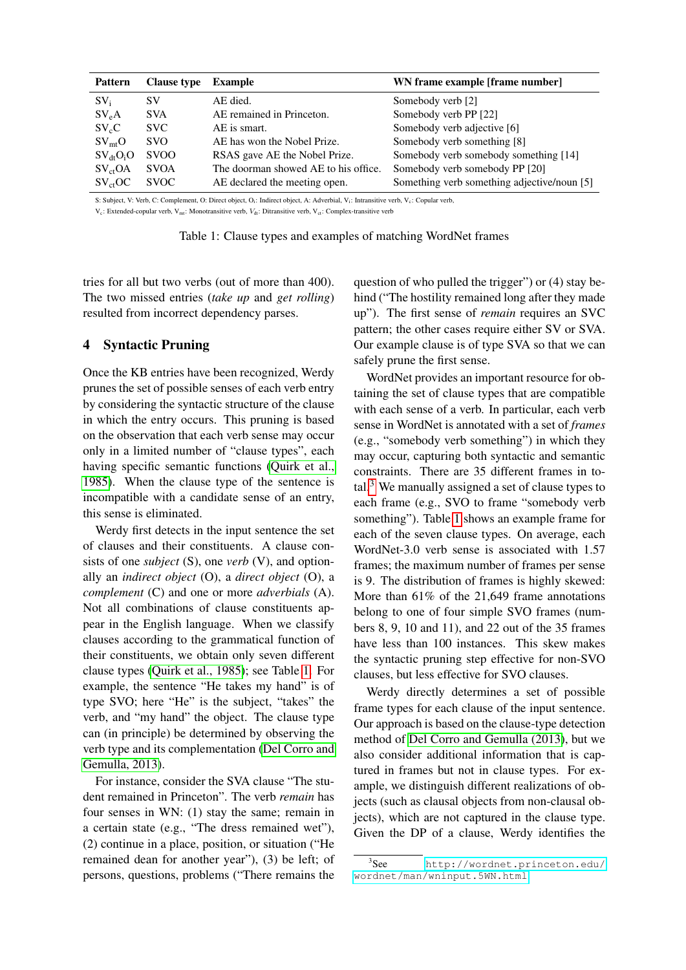<span id="page-3-1"></span>

| <b>Pattern</b>      | <b>Clause type</b> | Example                              | WN frame example [frame number]             |
|---------------------|--------------------|--------------------------------------|---------------------------------------------|
| $SV_i$              | SV                 | AE died.                             | Somebody verb [2]                           |
| $SV_eA$             | <b>SVA</b>         | AE remained in Princeton.            | Somebody verb PP [22]                       |
| $SV_cC$             | SVC.               | AE is smart.                         | Somebody verb adjective [6]                 |
| $SV_{mt}O$          | <b>SVO</b>         | AE has won the Nobel Prize.          | Somebody verb something [8]                 |
| $SV_{dt}O_iO$       | <b>SVOO</b>        | RSAS gave AE the Nobel Prize.        | Somebody verb somebody something [14]       |
| SV <sub>ct</sub> OA | <b>SVOA</b>        | The doorman showed AE to his office. | Somebody verb somebody PP [20]              |
| $SV_{ct}OC$         | <b>SVOC</b>        | AE declared the meeting open.        | Something verb something adjective/noun [5] |

S: Subject, V: Verb, C: Complement, O: Direct object, O<sub>i</sub>: Indirect object, A: Adverbial, V<sub>i</sub>: Intransitive verb, V<sub>c</sub>: Copular verb,

 $V_c$ : Extended-copular verb,  $V_{\text{mt}}$ : Monotransitive verb,  $V_{\text{dt}}$ : Ditransitive verb,  $V_{\text{ct}}$ : Complex-transitive verb

tries for all but two verbs (out of more than 400). The two missed entries (*take up* and *get rolling*) resulted from incorrect dependency parses.

# <span id="page-3-0"></span>4 Syntactic Pruning

Once the KB entries have been recognized, Werdy prunes the set of possible senses of each verb entry by considering the syntactic structure of the clause in which the entry occurs. This pruning is based on the observation that each verb sense may occur only in a limited number of "clause types", each having specific semantic functions [\(Quirk et al.,](#page-11-4) [1985\)](#page-11-4). When the clause type of the sentence is incompatible with a candidate sense of an entry, this sense is eliminated.

Werdy first detects in the input sentence the set of clauses and their constituents. A clause consists of one *subject* (S), one *verb* (V), and optionally an *indirect object* (O), a *direct object* (O), a *complement* (C) and one or more *adverbials* (A). Not all combinations of clause constituents appear in the English language. When we classify clauses according to the grammatical function of their constituents, we obtain only seven different clause types [\(Quirk et al., 1985\)](#page-11-4); see Table [1.](#page-3-1) For example, the sentence "He takes my hand" is of type SVO; here "He" is the subject, "takes" the verb, and "my hand" the object. The clause type can (in principle) be determined by observing the verb type and its complementation [\(Del Corro and](#page-10-1) [Gemulla, 2013\)](#page-10-1).

For instance, consider the SVA clause "The student remained in Princeton". The verb *remain* has four senses in WN: (1) stay the same; remain in a certain state (e.g., "The dress remained wet"), (2) continue in a place, position, or situation ("He remained dean for another year"), (3) be left; of persons, questions, problems ("There remains the

question of who pulled the trigger") or (4) stay behind ("The hostility remained long after they made up"). The first sense of *remain* requires an SVC pattern; the other cases require either SV or SVA. Our example clause is of type SVA so that we can safely prune the first sense.

WordNet provides an important resource for obtaining the set of clause types that are compatible with each sense of a verb. In particular, each verb sense in WordNet is annotated with a set of *frames* (e.g., "somebody verb something") in which they may occur, capturing both syntactic and semantic constraints. There are 35 different frames in total. $3$  We manually assigned a set of clause types to each frame (e.g., SVO to frame "somebody verb something"). Table [1](#page-3-1) shows an example frame for each of the seven clause types. On average, each WordNet-3.0 verb sense is associated with 1.57 frames; the maximum number of frames per sense is 9. The distribution of frames is highly skewed: More than 61% of the 21,649 frame annotations belong to one of four simple SVO frames (numbers 8, 9, 10 and 11), and 22 out of the 35 frames have less than 100 instances. This skew makes the syntactic pruning step effective for non-SVO clauses, but less effective for SVO clauses.

Werdy directly determines a set of possible frame types for each clause of the input sentence. Our approach is based on the clause-type detection method of [Del Corro and Gemulla \(2013\)](#page-10-1), but we also consider additional information that is captured in frames but not in clause types. For example, we distinguish different realizations of objects (such as clausal objects from non-clausal objects), which are not captured in the clause type. Given the DP of a clause, Werdy identifies the

<span id="page-3-2"></span> $3$ See [http://wordnet.princeton.edu/](http://wordnet.princeton.edu/wordnet/man/wninput.5WN.html) [wordnet/man/wninput.5WN.html](http://wordnet.princeton.edu/wordnet/man/wninput.5WN.html).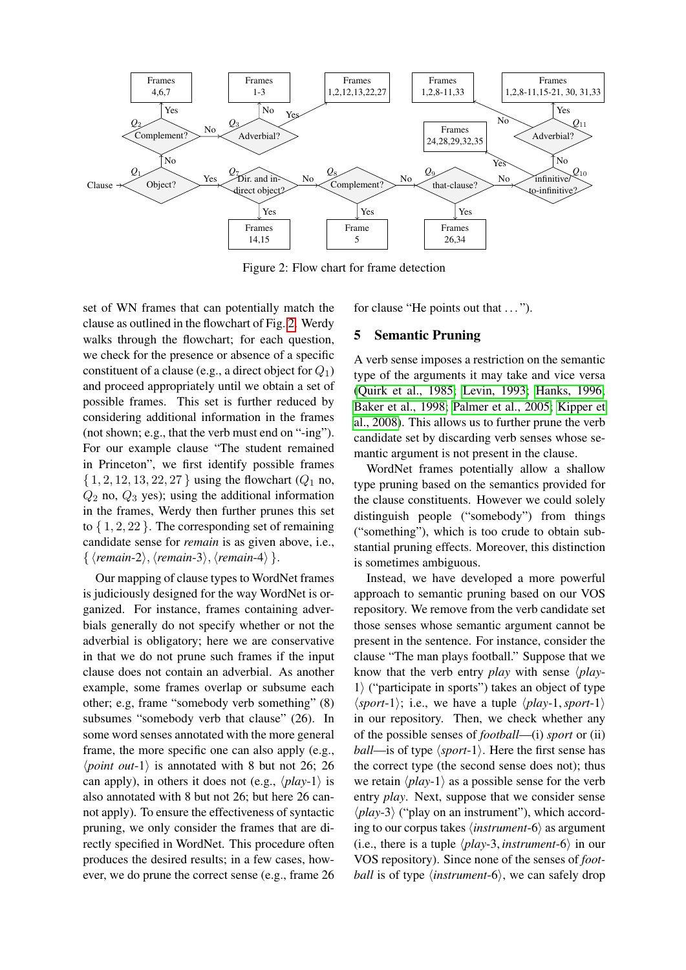<span id="page-4-1"></span>

Figure 2: Flow chart for frame detection

set of WN frames that can potentially match the clause as outlined in the flowchart of Fig. [2.](#page-4-1) Werdy walks through the flowchart; for each question, we check for the presence or absence of a specific constituent of a clause (e.g., a direct object for  $Q_1$ ) and proceed appropriately until we obtain a set of possible frames. This set is further reduced by considering additional information in the frames (not shown; e.g., that the verb must end on "-ing"). For our example clause "The student remained in Princeton", we first identify possible frames  $\{1, 2, 12, 13, 22, 27\}$  using the flowchart  $(Q_1 \text{ no},$  $Q_2$  no,  $Q_3$  yes); using the additional information in the frames, Werdy then further prunes this set to  $\{1, 2, 22\}$ . The corresponding set of remaining candidate sense for *remain* is as given above, i.e.,  $\{ \langle remain-2\rangle, \langle remain-3\rangle, \langle remain-4\rangle \}.$ 

Our mapping of clause types to WordNet frames is judiciously designed for the way WordNet is organized. For instance, frames containing adverbials generally do not specify whether or not the adverbial is obligatory; here we are conservative in that we do not prune such frames if the input clause does not contain an adverbial. As another example, some frames overlap or subsume each other; e.g, frame "somebody verb something" (8) subsumes "somebody verb that clause" (26). In some word senses annotated with the more general frame, the more specific one can also apply (e.g.,  $\langle point \ out-1 \rangle$  is annotated with 8 but not 26; 26 can apply), in others it does not (e.g.,  $\langle play-1\rangle$  is also annotated with 8 but not 26; but here 26 cannot apply). To ensure the effectiveness of syntactic pruning, we only consider the frames that are directly specified in WordNet. This procedure often produces the desired results; in a few cases, however, we do prune the correct sense (e.g., frame 26 for clause "He points out that ...").

#### <span id="page-4-0"></span>5 Semantic Pruning

A verb sense imposes a restriction on the semantic type of the arguments it may take and vice versa [\(Quirk et al., 1985;](#page-11-4) [Levin, 1993;](#page-10-2) [Hanks, 1996;](#page-10-3) [Baker et al., 1998;](#page-10-4) [Palmer et al., 2005;](#page-11-5) [Kipper et](#page-10-8) [al., 2008\)](#page-10-8). This allows us to further prune the verb candidate set by discarding verb senses whose semantic argument is not present in the clause.

WordNet frames potentially allow a shallow type pruning based on the semantics provided for the clause constituents. However we could solely distinguish people ("somebody") from things ("something"), which is too crude to obtain substantial pruning effects. Moreover, this distinction is sometimes ambiguous.

Instead, we have developed a more powerful approach to semantic pruning based on our VOS repository. We remove from the verb candidate set those senses whose semantic argument cannot be present in the sentence. For instance, consider the clause "The man plays football." Suppose that we know that the verb entry *play* with sense  $\langle$ *play*-1) ("participate in sports") takes an object of type  $\langle sport-1 \rangle$ ; i.e., we have a tuple  $\langle play-1, sport-1 \rangle$ in our repository. Then, we check whether any of the possible senses of *football*—(i) *sport* or (ii) *ball—is* of type  $\langle sport-1\rangle$ . Here the first sense has the correct type (the second sense does not); thus we retain  $\langle play-1\rangle$  as a possible sense for the verb entry *play*. Next, suppose that we consider sense  $\langle play-3\rangle$  ("play on an instrument"), which according to our corpus takes  $\langle instrument-6\rangle$  as argument (i.e., there is a tuple  $\langle play-3, instrument-6 \rangle$  in our VOS repository). Since none of the senses of *football* is of type  $\langle$ *instrument*-6 $\rangle$ , we can safely drop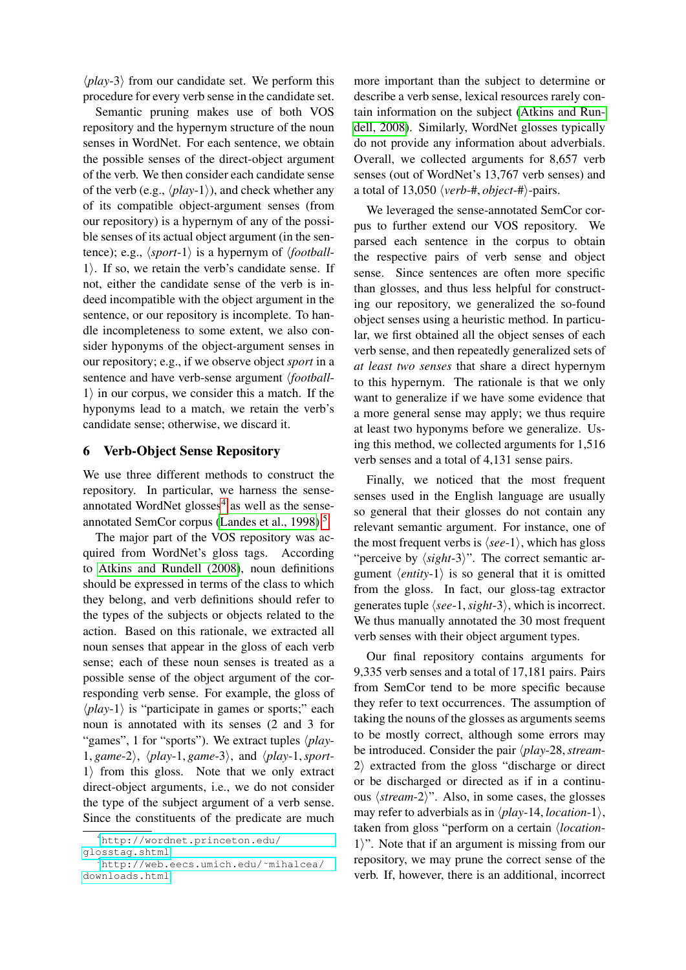$\langle play-3\rangle$  from our candidate set. We perform this procedure for every verb sense in the candidate set.

Semantic pruning makes use of both VOS repository and the hypernym structure of the noun senses in WordNet. For each sentence, we obtain the possible senses of the direct-object argument of the verb. We then consider each candidate sense of the verb (e.g.,  $\langle play-1\rangle$ ), and check whether any of its compatible object-argument senses (from our repository) is a hypernym of any of the possible senses of its actual object argument (in the sentence); e.g.,  $\langle sport-1\rangle$  is a hypernym of  $\langle football 1$ ). If so, we retain the verb's candidate sense. If not, either the candidate sense of the verb is indeed incompatible with the object argument in the sentence, or our repository is incomplete. To handle incompleteness to some extent, we also consider hyponyms of the object-argument senses in our repository; e.g., if we observe object *sport* in a sentence and have verb-sense argument *(football-* $1$  in our corpus, we consider this a match. If the hyponyms lead to a match, we retain the verb's candidate sense; otherwise, we discard it.

# <span id="page-5-0"></span>6 Verb-Object Sense Repository

We use three different methods to construct the repository. In particular, we harness the senseannotated WordNet  $glosses<sup>4</sup>$  $glosses<sup>4</sup>$  $glosses<sup>4</sup>$  as well as the senseannotated SemCor corpus [\(Landes et al., 1998\)](#page-10-9).[5](#page-5-2)

The major part of the VOS repository was acquired from WordNet's gloss tags. According to [Atkins and Rundell \(2008\)](#page-10-10), noun definitions should be expressed in terms of the class to which they belong, and verb definitions should refer to the types of the subjects or objects related to the action. Based on this rationale, we extracted all noun senses that appear in the gloss of each verb sense; each of these noun senses is treated as a possible sense of the object argument of the corresponding verb sense. For example, the gloss of  $\langle play-1\rangle$  is "participate in games or sports;" each noun is annotated with its senses (2 and 3 for "games", 1 for "sports"). We extract tuples  $\langle play-$ 1, *game*-2 $\rangle$ ,  $\langle play-1, game-3\rangle$ , and  $\langle play-1, sport-1\rangle$  $1$  from this gloss. Note that we only extract direct-object arguments, i.e., we do not consider the type of the subject argument of a verb sense. Since the constituents of the predicate are much

more important than the subject to determine or describe a verb sense, lexical resources rarely contain information on the subject [\(Atkins and Run](#page-10-10)[dell, 2008\)](#page-10-10). Similarly, WordNet glosses typically do not provide any information about adverbials. Overall, we collected arguments for 8,657 verb senses (out of WordNet's 13,767 verb senses) and a total of 13,050  $\langle verb{-}#, object{-}*\rangle$ -pairs.

We leveraged the sense-annotated SemCor corpus to further extend our VOS repository. We parsed each sentence in the corpus to obtain the respective pairs of verb sense and object sense. Since sentences are often more specific than glosses, and thus less helpful for constructing our repository, we generalized the so-found object senses using a heuristic method. In particular, we first obtained all the object senses of each verb sense, and then repeatedly generalized sets of *at least two senses* that share a direct hypernym to this hypernym. The rationale is that we only want to generalize if we have some evidence that a more general sense may apply; we thus require at least two hyponyms before we generalize. Using this method, we collected arguments for 1,516 verb senses and a total of 4,131 sense pairs.

Finally, we noticed that the most frequent senses used in the English language are usually so general that their glosses do not contain any relevant semantic argument. For instance, one of the most frequent verbs is  $\langle see-1 \rangle$ , which has gloss "perceive by  $\langle sight-3\rangle$ ". The correct semantic argument  $\langle entity-1 \rangle$  is so general that it is omitted from the gloss. In fact, our gloss-tag extractor generates tuple  $\langle see-1, sight-3 \rangle$ , which is incorrect. We thus manually annotated the 30 most frequent verb senses with their object argument types.

Our final repository contains arguments for 9,335 verb senses and a total of 17,181 pairs. Pairs from SemCor tend to be more specific because they refer to text occurrences. The assumption of taking the nouns of the glosses as arguments seems to be mostly correct, although some errors may be introduced. Consider the pair  $\langle play-28, stream 2$  extracted from the gloss "discharge or direct or be discharged or directed as if in a continuous  $\langle stream-2 \rangle$ ". Also, in some cases, the glosses may refer to adverbials as in  $\langle play-14, location-1 \rangle$ , taken from gloss "perform on a certain *<i>location*- $1$ ". Note that if an argument is missing from our repository, we may prune the correct sense of the verb. If, however, there is an additional, incorrect

<span id="page-5-1"></span><sup>4</sup>[http://wordnet.princeton.edu/](http://wordnet.princeton.edu/glosstag.shtml) [glosstag.shtml](http://wordnet.princeton.edu/glosstag.shtml)

<span id="page-5-2"></span><sup>5</sup>[http://web.eecs.umich.edu/˜mihalcea/](http://web.eecs.umich.edu/~mihalcea/downloads.html) [downloads.html](http://web.eecs.umich.edu/~mihalcea/downloads.html)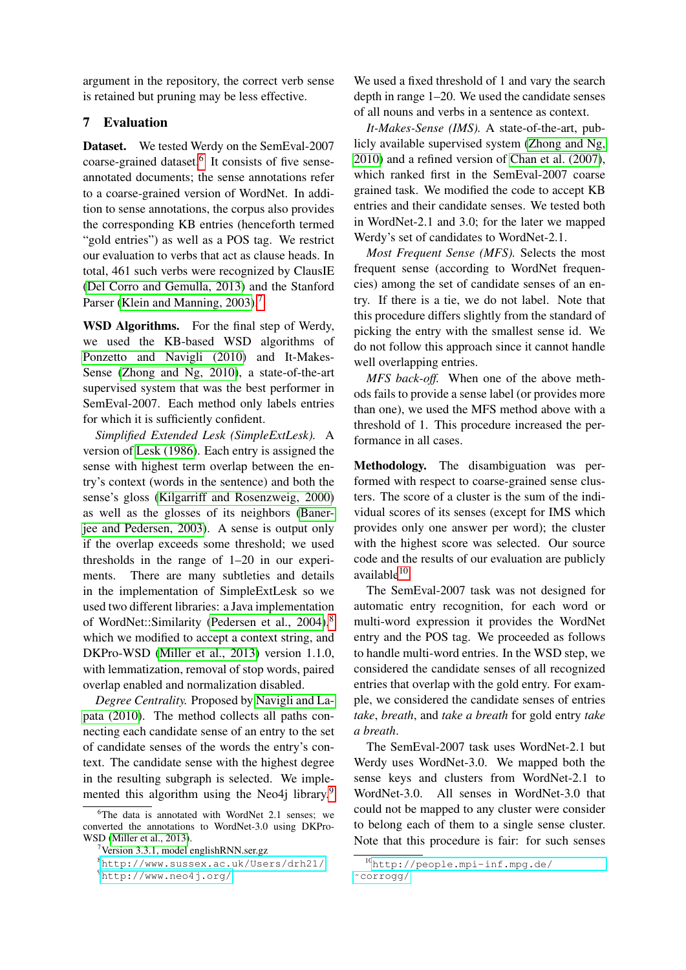argument in the repository, the correct verb sense is retained but pruning may be less effective.

# 7 Evaluation

Dataset. We tested Werdy on the SemEval-2007 coarse-grained dataset.<sup>[6](#page-6-0)</sup> It consists of five senseannotated documents; the sense annotations refer to a coarse-grained version of WordNet. In addition to sense annotations, the corpus also provides the corresponding KB entries (henceforth termed "gold entries") as well as a POS tag. We restrict our evaluation to verbs that act as clause heads. In total, 461 such verbs were recognized by ClausIE [\(Del Corro and Gemulla, 2013\)](#page-10-1) and the Stanford Parser [\(Klein and Manning, 2003\)](#page-10-11).<sup>[7](#page-6-1)</sup>

WSD Algorithms. For the final step of Werdy, we used the KB-based WSD algorithms of [Ponzetto and Navigli \(2010\)](#page-11-2) and It-Makes-Sense [\(Zhong and Ng, 2010\)](#page-11-1), a state-of-the-art supervised system that was the best performer in SemEval-2007. Each method only labels entries for which it is sufficiently confident.

*Simplified Extended Lesk (SimpleExtLesk).* A version of [Lesk \(1986\)](#page-10-12). Each entry is assigned the sense with highest term overlap between the entry's context (words in the sentence) and both the sense's gloss [\(Kilgarriff and Rosenzweig, 2000\)](#page-10-13) as well as the glosses of its neighbors [\(Baner](#page-10-14)[jee and Pedersen, 2003\)](#page-10-14). A sense is output only if the overlap exceeds some threshold; we used thresholds in the range of 1–20 in our experiments. There are many subtleties and details in the implementation of SimpleExtLesk so we used two different libraries: a Java implementation of WordNet::Similarity [\(Pedersen et al., 2004\)](#page-11-6),<sup>[8](#page-6-2)</sup> which we modified to accept a context string, and DKPro-WSD [\(Miller et al., 2013\)](#page-10-15) version 1.1.0, with lemmatization, removal of stop words, paired overlap enabled and normalization disabled.

*Degree Centrality.* Proposed by [Navigli and La](#page-10-16)[pata \(2010\)](#page-10-16). The method collects all paths connecting each candidate sense of an entry to the set of candidate senses of the words the entry's context. The candidate sense with the highest degree in the resulting subgraph is selected. We imple-mented this algorithm using the Neo4j library.<sup>[9](#page-6-3)</sup>

We used a fixed threshold of 1 and vary the search depth in range 1–20. We used the candidate senses of all nouns and verbs in a sentence as context.

*It-Makes-Sense (IMS).* A state-of-the-art, publicly available supervised system [\(Zhong and Ng,](#page-11-1) [2010\)](#page-11-1) and a refined version of [Chan et al. \(2007\)](#page-10-17), which ranked first in the SemEval-2007 coarse grained task. We modified the code to accept KB entries and their candidate senses. We tested both in WordNet-2.1 and 3.0; for the later we mapped Werdy's set of candidates to WordNet-2.1.

*Most Frequent Sense (MFS).* Selects the most frequent sense (according to WordNet frequencies) among the set of candidate senses of an entry. If there is a tie, we do not label. Note that this procedure differs slightly from the standard of picking the entry with the smallest sense id. We do not follow this approach since it cannot handle well overlapping entries.

*MFS back-off.* When one of the above methods fails to provide a sense label (or provides more than one), we used the MFS method above with a threshold of 1. This procedure increased the performance in all cases.

Methodology. The disambiguation was performed with respect to coarse-grained sense clusters. The score of a cluster is the sum of the individual scores of its senses (except for IMS which provides only one answer per word); the cluster with the highest score was selected. Our source code and the results of our evaluation are publicly available<sup>[10](#page-6-4)</sup>.

The SemEval-2007 task was not designed for automatic entry recognition, for each word or multi-word expression it provides the WordNet entry and the POS tag. We proceeded as follows to handle multi-word entries. In the WSD step, we considered the candidate senses of all recognized entries that overlap with the gold entry. For example, we considered the candidate senses of entries *take*, *breath*, and *take a breath* for gold entry *take a breath*.

The SemEval-2007 task uses WordNet-2.1 but Werdy uses WordNet-3.0. We mapped both the sense keys and clusters from WordNet-2.1 to WordNet-3.0. All senses in WordNet-3.0 that could not be mapped to any cluster were consider to belong each of them to a single sense cluster. Note that this procedure is fair: for such senses

<span id="page-6-0"></span> $6$ The data is annotated with WordNet 2.1 senses; we converted the annotations to WordNet-3.0 using DKPro-WSD [\(Miller et al., 2013\)](#page-10-15).

<span id="page-6-1"></span><sup>7</sup>Version 3.3.1, model englishRNN.ser.gz

<span id="page-6-2"></span><sup>8</sup><http://www.sussex.ac.uk/Users/drh21/>

<span id="page-6-3"></span><sup>9</sup><http://www.neo4j.org/>

<span id="page-6-4"></span><sup>10</sup>[http://people.mpi-inf.mpg.de/](http://people.mpi-inf.mpg.de/~corrogg/) [˜corrogg/](http://people.mpi-inf.mpg.de/~corrogg/)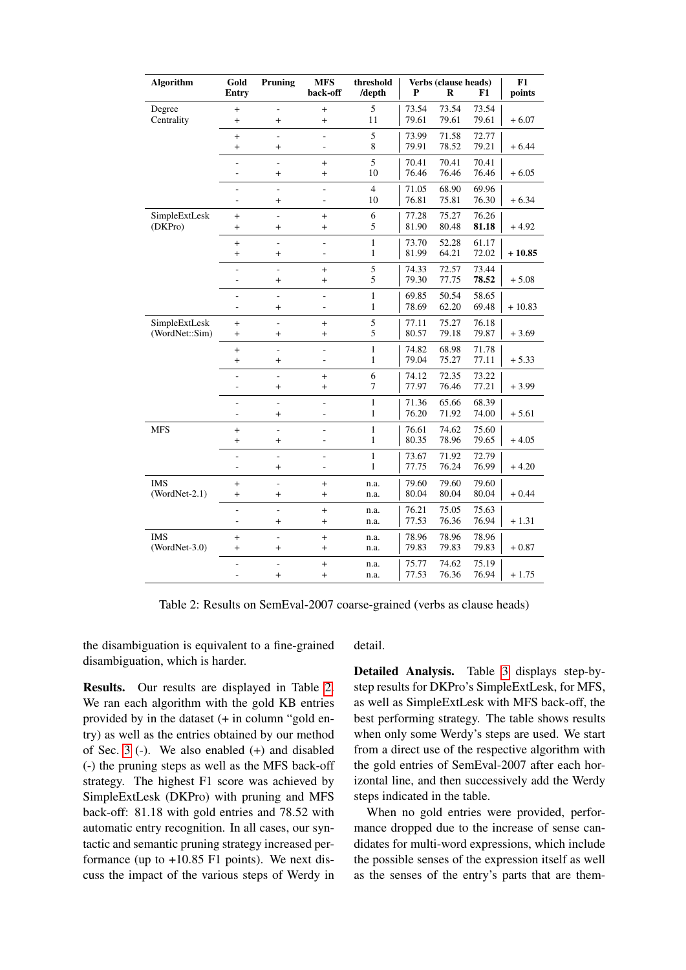<span id="page-7-0"></span>

| Algorithm       | Gold                     | Pruning         | <b>MFS</b><br>back-off | threshold                    | Verbs (clause heads)<br>P |                | F1             | F1       |
|-----------------|--------------------------|-----------------|------------------------|------------------------------|---------------------------|----------------|----------------|----------|
|                 | Entry                    |                 |                        | /depth                       |                           | R              |                | points   |
| Degree          | $^{+}$                   | ÷,              | $\ddot{}$              | 5                            | 73.54                     | 73.54          | 73.54          |          |
| Centrality      | $^{+}$                   | $^{+}$          | $^{+}$                 | 11                           | 79.61                     | 79.61          | 79.61          | $+6.07$  |
|                 | $^{+}$                   | ÷.              | ÷,                     | 5                            | 73.99                     | 71.58          | 72.77          |          |
|                 | $^{+}$                   | $^{+}$          |                        | $\,8\,$                      | 79.91                     | 78.52          | 79.21          | $+6.44$  |
|                 | $\overline{a}$           |                 | $^{+}$                 | 5                            | 70.41                     | 70.41          | 70.41          |          |
|                 | -                        | $^{+}$          | $^{+}$                 | 10                           | 76.46                     | 76.46          | 76.46          | $+6.05$  |
|                 |                          |                 | ÷,                     | $\overline{4}$               | 71.05                     | 68.90          | 69.96          |          |
|                 | ÷                        | $^{+}$          | ÷                      | 10                           | 76.81                     | 75.81          | 76.30          | $+6.34$  |
| SimpleExtLesk   | $^{+}$                   | ä,              | $\ddot{}$              | 6                            | 77.28                     | 75.27          | 76.26          |          |
| (DKPro)         | $\ddot{}$                | $^{+}$          | $\ddot{}$              | 5                            | 81.90                     | 80.48          | 81.18          | $+4.92$  |
|                 | $^{+}$                   | ä,              | ÷,                     | $\mathbf{1}$                 | 73.70                     | 52.28          | 61.17          |          |
|                 | $^{+}$                   | $^{+}$          | ÷                      | $\mathbf{1}$                 | 81.99                     | 64.21          | 72.02          | $+10.85$ |
|                 | $\overline{\phantom{0}}$ |                 | $^{+}$                 | 5                            | 74.33                     | 72.57          | 73.44          |          |
|                 | -                        | $\ddot{}$       | $\ddot{}$              | 5                            | 79.30                     | 77.75          | 78.52          | $+5.08$  |
|                 |                          |                 |                        |                              |                           |                |                |          |
|                 | -<br>-                   | ÷,<br>$\pmb{+}$ | ÷,<br>÷                | $\mathbf{1}$<br>$\mathbf{1}$ | 69.85<br>78.69            | 50.54<br>62.20 | 58.65<br>69.48 | $+10.83$ |
|                 |                          |                 |                        |                              |                           |                |                |          |
| SimpleExtLesk   | $^{+}$                   | ÷,              | $\ddot{}$              | 5                            | 77.11                     | 75.27          | 76.18          |          |
| (WordNet::Sim)  | $^{+}$                   | $^{+}$          | $^{+}$                 | 5                            | 80.57                     | 79.18          | 79.87          | $+3.69$  |
|                 | $^{+}$                   | ä,              | L.                     | $\mathbf{1}$                 | 74.82                     | 68.98          | 71.78          |          |
|                 | $^{+}$                   | $^{+}$          | ÷,                     | $\mathbf{1}$                 | 79.04                     | 75.27          | 77.11          | $+5.33$  |
|                 | L                        | ÷               | $+$                    | 6                            | 74.12                     | 72.35          | 73.22          |          |
|                 | -                        | $^{+}$          | $\ddot{}$              | $\tau$                       | 77.97                     | 76.46          | 77.21          | $+3.99$  |
|                 | ÷                        | ÷,              | ÷,                     | $\,1$                        | 71.36                     | 65.66          | 68.39          |          |
|                 | -                        | $\ddot{}$       | ÷                      | 1                            | 76.20                     | 71.92          | 74.00          | $+ 5.61$ |
| <b>MFS</b>      | $^{+}$                   | ÷,              | ä,                     | $\mathbf{1}$                 | 76.61                     | 74.62          | 75.60          |          |
|                 | $^{+}$                   | $\ddot{}$       | ä,                     | $\mathbf{1}$                 | 80.35                     | 78.96          | 79.65          | $+4.05$  |
|                 | 4                        | ÷,              | ÷                      | $\mathbf{1}$                 | 73.67                     | 71.92          | 72.79          |          |
|                 |                          | $^{+}$          |                        | 1                            | 77.75                     | 76.24          | 76.99          | $+4.20$  |
| <b>IMS</b>      | $^{+}$                   | ÷,              | $^{+}$                 | n.a.                         | 79.60                     | 79.60          | 79.60          |          |
| $(WordNet-2.1)$ | $^{+}$                   | $^{+}$          | $^{+}$                 | n.a.                         | 80.04                     | 80.04          | 80.04          | $+0.44$  |
|                 |                          |                 |                        |                              |                           |                |                |          |
|                 | ÷,<br>-                  | ÷,<br>$^{+}$    | $\ddot{}$<br>$^{+}$    | n.a.<br>n.a.                 | 76.21<br>77.53            | 75.05<br>76.36 | 75.63<br>76.94 | $+1.31$  |
|                 |                          |                 |                        |                              |                           |                |                |          |
| <b>IMS</b>      | $^{+}$                   | ä,              | $^{+}$                 | n.a.                         | 78.96                     | 78.96          | 78.96          |          |
| $(WordNet-3.0)$ | $^{+}$                   | $^{+}$          | $^{+}$                 | n.a.                         | 79.83                     | 79.83          | 79.83          | $+0.87$  |
|                 | ÷,                       | ÷,              | $^{+}$                 | n.a.                         | 75.77                     | 74.62          | 75.19          |          |
|                 | L                        | $\ddot{}$       | $\ddot{}$              | n.a.                         | 77.53                     | 76.36          | 76.94          | $+1.75$  |

Table 2: Results on SemEval-2007 coarse-grained (verbs as clause heads)

the disambiguation is equivalent to a fine-grained disambiguation, which is harder.

Results. Our results are displayed in Table [2.](#page-7-0) We ran each algorithm with the gold KB entries provided by in the dataset (+ in column "gold entry) as well as the entries obtained by our method of Sec. [3](#page-2-0) (-). We also enabled (+) and disabled (-) the pruning steps as well as the MFS back-off strategy. The highest F1 score was achieved by SimpleExtLesk (DKPro) with pruning and MFS back-off: 81.18 with gold entries and 78.52 with automatic entry recognition. In all cases, our syntactic and semantic pruning strategy increased performance (up to  $+10.85$  F1 points). We next discuss the impact of the various steps of Werdy in detail.

Detailed Analysis. Table [3](#page-8-0) displays step-bystep results for DKPro's SimpleExtLesk, for MFS, as well as SimpleExtLesk with MFS back-off, the best performing strategy. The table shows results when only some Werdy's steps are used. We start from a direct use of the respective algorithm with the gold entries of SemEval-2007 after each horizontal line, and then successively add the Werdy steps indicated in the table.

When no gold entries were provided, performance dropped due to the increase of sense candidates for multi-word expressions, which include the possible senses of the expression itself as well as the senses of the entry's parts that are them-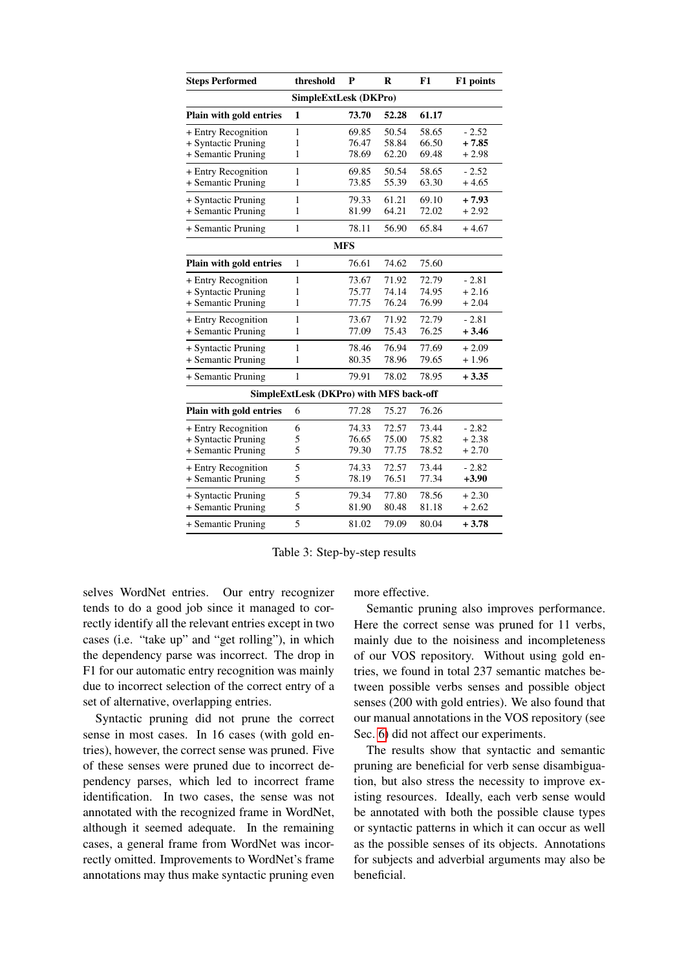<span id="page-8-0"></span>

| <b>Steps Performed</b>                                           | threshold                    | P                       | R                       | F1                      | F1 points                     |  |  |  |  |
|------------------------------------------------------------------|------------------------------|-------------------------|-------------------------|-------------------------|-------------------------------|--|--|--|--|
| <b>SimpleExtLesk (DKPro)</b>                                     |                              |                         |                         |                         |                               |  |  |  |  |
| Plain with gold entries                                          | 1                            | 73.70                   | 52.28                   | 61.17                   |                               |  |  |  |  |
| + Entry Recognition<br>+ Syntactic Pruning                       | $\mathbf{1}$<br>1            | 69.85<br>76.47          | 50.54<br>58.84          | 58.65<br>66.50          | $-2.52$<br>$+7.85$            |  |  |  |  |
| + Semantic Pruning                                               | $\mathbf{1}$                 | 78.69                   | 62.20                   | 69.48                   | $+2.98$                       |  |  |  |  |
| + Entry Recognition<br>+ Semantic Pruning                        | $\mathbf{1}$<br>$\mathbf{1}$ | 69.85<br>73.85          | 50.54<br>55.39          | 58.65<br>63.30          | $-2.52$<br>$+4.65$            |  |  |  |  |
| + Syntactic Pruning<br>+ Semantic Pruning                        | $\mathbf{1}$<br>1            | 79.33<br>81.99          | 61.21<br>64.21          | 69.10<br>72.02          | $+7.93$<br>$+2.92$            |  |  |  |  |
| + Semantic Pruning                                               | $\mathbf{1}$                 | 78.11                   | 56.90                   | 65.84                   | $+4.67$                       |  |  |  |  |
| <b>MFS</b>                                                       |                              |                         |                         |                         |                               |  |  |  |  |
| Plain with gold entries                                          | $\mathbf{1}$                 | 76.61                   | 74.62                   | 75.60                   |                               |  |  |  |  |
| + Entry Recognition<br>+ Syntactic Pruning<br>+ Semantic Pruning | 1<br>1<br>$\mathbf{1}$       | 73.67<br>75.77<br>77.75 | 71.92<br>74.14<br>76.24 | 72.79<br>74.95<br>76.99 | $-2.81$<br>$+2.16$<br>$+2.04$ |  |  |  |  |
| + Entry Recognition<br>+ Semantic Pruning                        | $\mathbf{1}$<br>$\mathbf{1}$ | 73.67<br>77.09          | 71.92<br>75.43          | 72.79<br>76.25          | $-2.81$<br>$+3.46$            |  |  |  |  |
| + Syntactic Pruning<br>+ Semantic Pruning                        | $\mathbf{1}$<br>$\mathbf{1}$ | 78.46<br>80.35          | 76.94<br>78.96          | 77.69<br>79.65          | $+2.09$<br>$+1.96$            |  |  |  |  |
| + Semantic Pruning                                               | $\mathbf{1}$                 | 79.91                   | 78.02                   | 78.95                   | $+3.35$                       |  |  |  |  |
| SimpleExtLesk (DKPro) with MFS back-off                          |                              |                         |                         |                         |                               |  |  |  |  |
| Plain with gold entries                                          | 6                            | 77.28                   | 75.27                   | 76.26                   |                               |  |  |  |  |
| + Entry Recognition<br>+ Syntactic Pruning<br>+ Semantic Pruning | 6<br>5<br>5                  | 74.33<br>76.65<br>79.30 | 72.57<br>75.00<br>77.75 | 73.44<br>75.82<br>78.52 | $-2.82$<br>$+2.38$<br>$+2.70$ |  |  |  |  |
| + Entry Recognition<br>+ Semantic Pruning                        | 5<br>5                       | 74.33<br>78.19          | 72.57<br>76.51          | 73.44<br>77.34          | $-2.82$<br>$+3.90$            |  |  |  |  |
| + Syntactic Pruning<br>+ Semantic Pruning                        | 5<br>5                       | 79.34<br>81.90          | 77.80<br>80.48          | 78.56<br>81.18          | $+2.30$<br>$+2.62$            |  |  |  |  |
| + Semantic Pruning                                               | 5                            | 81.02                   | 79.09                   | 80.04                   | $+3.78$                       |  |  |  |  |

Table 3: Step-by-step results

selves WordNet entries. Our entry recognizer tends to do a good job since it managed to correctly identify all the relevant entries except in two cases (i.e. "take up" and "get rolling"), in which the dependency parse was incorrect. The drop in F1 for our automatic entry recognition was mainly due to incorrect selection of the correct entry of a set of alternative, overlapping entries.

Syntactic pruning did not prune the correct sense in most cases. In 16 cases (with gold entries), however, the correct sense was pruned. Five of these senses were pruned due to incorrect dependency parses, which led to incorrect frame identification. In two cases, the sense was not annotated with the recognized frame in WordNet, although it seemed adequate. In the remaining cases, a general frame from WordNet was incorrectly omitted. Improvements to WordNet's frame annotations may thus make syntactic pruning even more effective.

Semantic pruning also improves performance. Here the correct sense was pruned for 11 verbs, mainly due to the noisiness and incompleteness of our VOS repository. Without using gold entries, we found in total 237 semantic matches between possible verbs senses and possible object senses (200 with gold entries). We also found that our manual annotations in the VOS repository (see Sec. [6\)](#page-5-0) did not affect our experiments.

The results show that syntactic and semantic pruning are beneficial for verb sense disambiguation, but also stress the necessity to improve existing resources. Ideally, each verb sense would be annotated with both the possible clause types or syntactic patterns in which it can occur as well as the possible senses of its objects. Annotations for subjects and adverbial arguments may also be beneficial.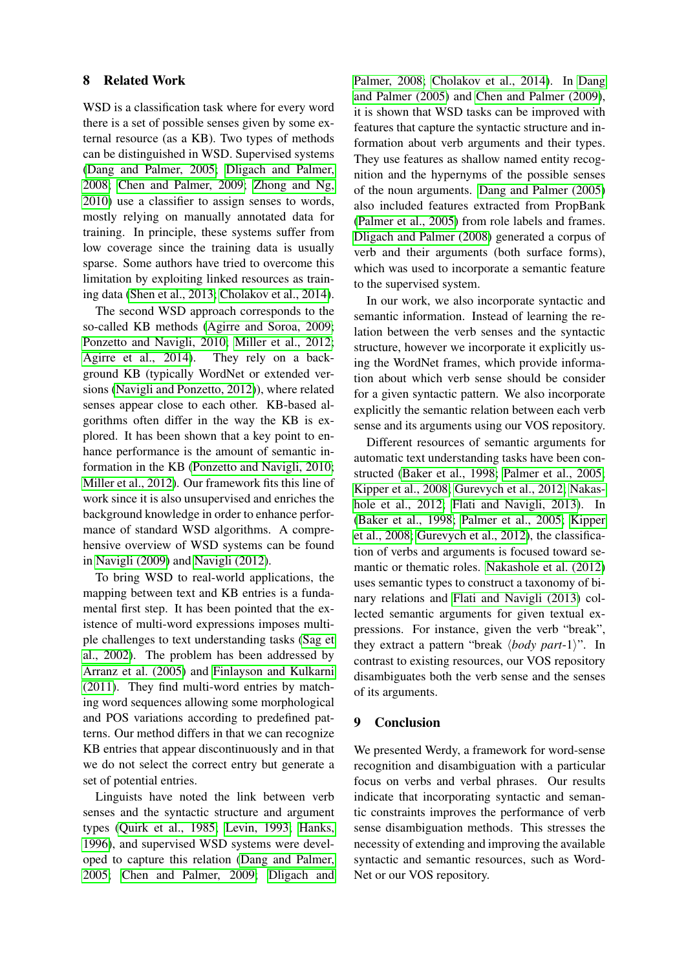# 8 Related Work

WSD is a classification task where for every word there is a set of possible senses given by some external resource (as a KB). Two types of methods can be distinguished in WSD. Supervised systems [\(Dang and Palmer, 2005;](#page-10-18) [Dligach and Palmer,](#page-10-19) [2008;](#page-10-19) [Chen and Palmer, 2009;](#page-10-20) [Zhong and Ng,](#page-11-1) [2010\)](#page-11-1) use a classifier to assign senses to words, mostly relying on manually annotated data for training. In principle, these systems suffer from low coverage since the training data is usually sparse. Some authors have tried to overcome this limitation by exploiting linked resources as training data [\(Shen et al., 2013;](#page-11-7) [Cholakov et al., 2014\)](#page-10-21).

The second WSD approach corresponds to the so-called KB methods [\(Agirre and Soroa, 2009;](#page-10-22) [Ponzetto and Navigli, 2010;](#page-11-2) [Miller et al., 2012;](#page-10-23) [Agirre et al., 2014\)](#page-10-24). They rely on a background KB (typically WordNet or extended versions [\(Navigli and Ponzetto, 2012\)](#page-11-8)), where related senses appear close to each other. KB-based algorithms often differ in the way the KB is explored. It has been shown that a key point to enhance performance is the amount of semantic information in the KB [\(Ponzetto and Navigli, 2010;](#page-11-2) [Miller et al., 2012\)](#page-10-23). Our framework fits this line of work since it is also unsupervised and enriches the background knowledge in order to enhance performance of standard WSD algorithms. A comprehensive overview of WSD systems can be found in [Navigli \(2009\)](#page-11-0) and [Navigli \(2012\)](#page-11-9).

To bring WSD to real-world applications, the mapping between text and KB entries is a fundamental first step. It has been pointed that the existence of multi-word expressions imposes multiple challenges to text understanding tasks [\(Sag et](#page-11-10) [al., 2002\)](#page-11-10). The problem has been addressed by [Arranz et al. \(2005\)](#page-10-7) and [Finlayson and Kulkarni](#page-10-5) [\(2011\)](#page-10-5). They find multi-word entries by matching word sequences allowing some morphological and POS variations according to predefined patterns. Our method differs in that we can recognize KB entries that appear discontinuously and in that we do not select the correct entry but generate a set of potential entries.

Linguists have noted the link between verb senses and the syntactic structure and argument types [\(Quirk et al., 1985;](#page-11-4) [Levin, 1993;](#page-10-2) [Hanks,](#page-10-3) [1996\)](#page-10-3), and supervised WSD systems were developed to capture this relation [\(Dang and Palmer,](#page-10-18) [2005;](#page-10-18) [Chen and Palmer, 2009;](#page-10-20) [Dligach and](#page-10-19) [Palmer, 2008;](#page-10-19) [Cholakov et al., 2014\)](#page-10-21). In [Dang](#page-10-18) [and Palmer \(2005\)](#page-10-18) and [Chen and Palmer \(2009\)](#page-10-20), it is shown that WSD tasks can be improved with features that capture the syntactic structure and information about verb arguments and their types. They use features as shallow named entity recognition and the hypernyms of the possible senses of the noun arguments. [Dang and Palmer \(2005\)](#page-10-18) also included features extracted from PropBank [\(Palmer et al., 2005\)](#page-11-5) from role labels and frames. [Dligach and Palmer \(2008\)](#page-10-19) generated a corpus of verb and their arguments (both surface forms), which was used to incorporate a semantic feature to the supervised system.

In our work, we also incorporate syntactic and semantic information. Instead of learning the relation between the verb senses and the syntactic structure, however we incorporate it explicitly using the WordNet frames, which provide information about which verb sense should be consider for a given syntactic pattern. We also incorporate explicitly the semantic relation between each verb sense and its arguments using our VOS repository.

Different resources of semantic arguments for automatic text understanding tasks have been constructed [\(Baker et al., 1998;](#page-10-4) [Palmer et al., 2005;](#page-11-5) [Kipper et al., 2008;](#page-10-8) [Gurevych et al., 2012;](#page-10-25) [Nakas](#page-10-26)[hole et al., 2012;](#page-10-26) [Flati and Navigli, 2013\)](#page-10-27). In [\(Baker et al., 1998;](#page-10-4) [Palmer et al., 2005;](#page-11-5) [Kipper](#page-10-8) [et al., 2008;](#page-10-8) [Gurevych et al., 2012\)](#page-10-25), the classification of verbs and arguments is focused toward semantic or thematic roles. [Nakashole et al. \(2012\)](#page-10-26) uses semantic types to construct a taxonomy of binary relations and [Flati and Navigli \(2013\)](#page-10-27) collected semantic arguments for given textual expressions. For instance, given the verb "break", they extract a pattern "break  $\langle body\ part-1\rangle$ ". In contrast to existing resources, our VOS repository disambiguates both the verb sense and the senses of its arguments.

### 9 Conclusion

We presented Werdy, a framework for word-sense recognition and disambiguation with a particular focus on verbs and verbal phrases. Our results indicate that incorporating syntactic and semantic constraints improves the performance of verb sense disambiguation methods. This stresses the necessity of extending and improving the available syntactic and semantic resources, such as Word-Net or our VOS repository.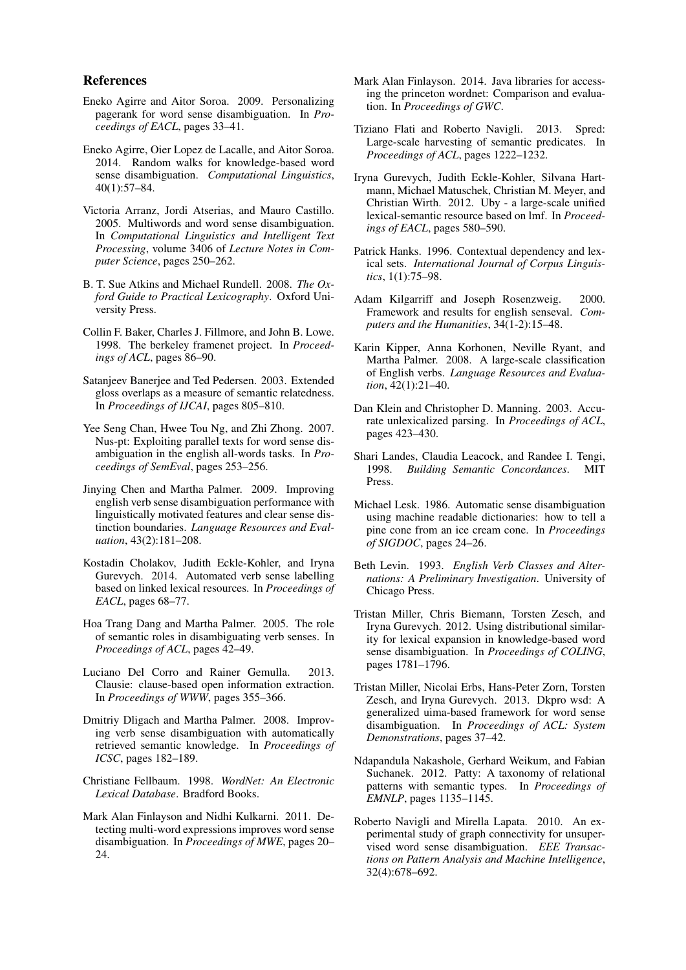#### References

- <span id="page-10-22"></span>Eneko Agirre and Aitor Soroa. 2009. Personalizing pagerank for word sense disambiguation. In *Proceedings of EACL*, pages 33–41.
- <span id="page-10-24"></span>Eneko Agirre, Oier Lopez de Lacalle, and Aitor Soroa. 2014. Random walks for knowledge-based word sense disambiguation. *Computational Linguistics*, 40(1):57–84.
- <span id="page-10-7"></span>Victoria Arranz, Jordi Atserias, and Mauro Castillo. 2005. Multiwords and word sense disambiguation. In *Computational Linguistics and Intelligent Text Processing*, volume 3406 of *Lecture Notes in Computer Science*, pages 250–262.
- <span id="page-10-10"></span>B. T. Sue Atkins and Michael Rundell. 2008. *The Oxford Guide to Practical Lexicography*. Oxford University Press.
- <span id="page-10-4"></span>Collin F. Baker, Charles J. Fillmore, and John B. Lowe. 1998. The berkeley framenet project. In *Proceedings of ACL*, pages 86–90.
- <span id="page-10-14"></span>Satanjeev Banerjee and Ted Pedersen. 2003. Extended gloss overlaps as a measure of semantic relatedness. In *Proceedings of IJCAI*, pages 805–810.
- <span id="page-10-17"></span>Yee Seng Chan, Hwee Tou Ng, and Zhi Zhong. 2007. Nus-pt: Exploiting parallel texts for word sense disambiguation in the english all-words tasks. In *Proceedings of SemEval*, pages 253–256.
- <span id="page-10-20"></span>Jinying Chen and Martha Palmer. 2009. Improving english verb sense disambiguation performance with linguistically motivated features and clear sense distinction boundaries. *Language Resources and Evaluation*, 43(2):181–208.
- <span id="page-10-21"></span>Kostadin Cholakov, Judith Eckle-Kohler, and Iryna Gurevych. 2014. Automated verb sense labelling based on linked lexical resources. In *Proceedings of EACL*, pages 68–77.
- <span id="page-10-18"></span>Hoa Trang Dang and Martha Palmer. 2005. The role of semantic roles in disambiguating verb senses. In *Proceedings of ACL*, pages 42–49.
- <span id="page-10-1"></span>Luciano Del Corro and Rainer Gemulla. 2013. Clausie: clause-based open information extraction. In *Proceedings of WWW*, pages 355–366.
- <span id="page-10-19"></span>Dmitriy Dligach and Martha Palmer. 2008. Improving verb sense disambiguation with automatically retrieved semantic knowledge. In *Proceedings of ICSC*, pages 182–189.
- <span id="page-10-0"></span>Christiane Fellbaum. 1998. *WordNet: An Electronic Lexical Database*. Bradford Books.
- <span id="page-10-5"></span>Mark Alan Finlayson and Nidhi Kulkarni. 2011. Detecting multi-word expressions improves word sense disambiguation. In *Proceedings of MWE*, pages 20– 24.
- <span id="page-10-6"></span>Mark Alan Finlayson. 2014. Java libraries for accessing the princeton wordnet: Comparison and evaluation. In *Proceedings of GWC*.
- <span id="page-10-27"></span>Tiziano Flati and Roberto Navigli. 2013. Spred: Large-scale harvesting of semantic predicates. In *Proceedings of ACL*, pages 1222–1232.
- <span id="page-10-25"></span>Iryna Gurevych, Judith Eckle-Kohler, Silvana Hartmann, Michael Matuschek, Christian M. Meyer, and Christian Wirth. 2012. Uby - a large-scale unified lexical-semantic resource based on lmf. In *Proceedings of EACL*, pages 580–590.
- <span id="page-10-3"></span>Patrick Hanks. 1996. Contextual dependency and lexical sets. *International Journal of Corpus Linguistics*, 1(1):75–98.
- <span id="page-10-13"></span>Adam Kilgarriff and Joseph Rosenzweig. 2000. Framework and results for english senseval. *Computers and the Humanities*, 34(1-2):15–48.
- <span id="page-10-8"></span>Karin Kipper, Anna Korhonen, Neville Ryant, and Martha Palmer. 2008. A large-scale classification of English verbs. *Language Resources and Evaluation*, 42(1):21–40.
- <span id="page-10-11"></span>Dan Klein and Christopher D. Manning. 2003. Accurate unlexicalized parsing. In *Proceedings of ACL*, pages 423–430.
- <span id="page-10-9"></span>Shari Landes, Claudia Leacock, and Randee I. Tengi, 1998. *Building Semantic Concordances*. MIT Press.
- <span id="page-10-12"></span>Michael Lesk. 1986. Automatic sense disambiguation using machine readable dictionaries: how to tell a pine cone from an ice cream cone. In *Proceedings of SIGDOC*, pages 24–26.
- <span id="page-10-2"></span>Beth Levin. 1993. *English Verb Classes and Alternations: A Preliminary Investigation*. University of Chicago Press.
- <span id="page-10-23"></span>Tristan Miller, Chris Biemann, Torsten Zesch, and Iryna Gurevych. 2012. Using distributional similarity for lexical expansion in knowledge-based word sense disambiguation. In *Proceedings of COLING*, pages 1781–1796.
- <span id="page-10-15"></span>Tristan Miller, Nicolai Erbs, Hans-Peter Zorn, Torsten Zesch, and Iryna Gurevych. 2013. Dkpro wsd: A generalized uima-based framework for word sense disambiguation. In *Proceedings of ACL: System Demonstrations*, pages 37–42.
- <span id="page-10-26"></span>Ndapandula Nakashole, Gerhard Weikum, and Fabian Suchanek. 2012. Patty: A taxonomy of relational patterns with semantic types. In *Proceedings of EMNLP*, pages 1135–1145.
- <span id="page-10-16"></span>Roberto Navigli and Mirella Lapata. 2010. An experimental study of graph connectivity for unsupervised word sense disambiguation. *EEE Transactions on Pattern Analysis and Machine Intelligence*, 32(4):678–692.